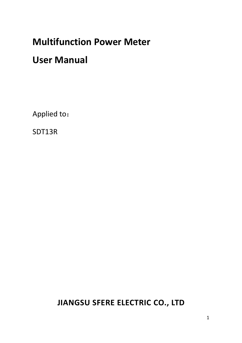# **Multifunction Power Meter**

## **User Manual**

Applied to:

SDT13R

## **JIANGSU SFERE ELECTRIC CO., LTD**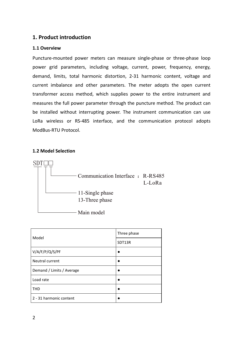## **1. Product introduction**

#### **1.1 Overview**

Puncture-mounted power meters can measure single-phase or three-phase loop power grid parameters, including voltage, current, power, frequency, energy, demand, limits, total harmonic distortion, 2-31 harmonic content, voltage and current imbalance and other parameters. The meter adopts the open current transformer access method, which supplies power to the entire instrument and measures the full power parameter through the puncture method. The product can be installed without interrupting power. The instrument communication can use LoRa wireless or RS-485 interface, and the communication protocol adopts ModBus-RTU Protocol.

#### **1.2 Model Selection**



| Model                     | Three phase |  |
|---------------------------|-------------|--|
|                           | SDT13R      |  |
| V/A/F/P/Q/S/PF            |             |  |
| Neutral current           |             |  |
| Demand / Limits / Average |             |  |
| Load rate                 |             |  |
| <b>THD</b>                |             |  |
| 2 - 31 harmonic content   |             |  |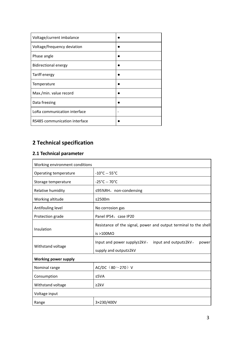| Voltage/current imbalance     |  |
|-------------------------------|--|
| Voltage/frequency deviation   |  |
| Phase angle                   |  |
| <b>Bidirectional energy</b>   |  |
| <b>Tariff energy</b>          |  |
| Temperature                   |  |
| Max./min. value record        |  |
| Data freezing                 |  |
| LoRa communication interface  |  |
| RS485 communication interface |  |

## **2 Technical specification**

## **2.1 Technical parameter**

| Working environment conditions |                                                                  |
|--------------------------------|------------------------------------------------------------------|
| Operating temperature          | $-10^{\circ}$ C -- 55 $^{\circ}$ C                               |
| Storage temperature            | $-25^{\circ}$ C -- 70 $^{\circ}$ C                               |
| Relative humidity              | ≤95%RH, non-condensing                                           |
| Working altitude               | ≤2500 $m$                                                        |
| Antifouling level              | No corrosion gas                                                 |
| Protection grade               | Panel IP54, case IP20                                            |
| Insulation                     | Resistance of the signal, power and output terminal to the shell |
|                                | is $>100$ MO                                                     |
| Withstand voltage              | Input and power supply≥2kV,<br>input and output≥2kV,<br>power    |
|                                | supply and output≥2kV                                            |
| Working power supply           |                                                                  |
| Nominal range                  | AC/DC $(80 - 270)$ V                                             |
| Consumption                    | ≤5VA                                                             |
| Withstand voltage              | 22kV                                                             |
| Voltage input                  |                                                                  |
| Range                          | 3×230/400V                                                       |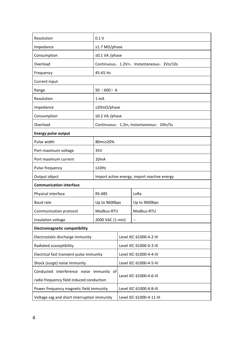| Resolution                                  | 0.1V                                      |                            |                                              |  |  |
|---------------------------------------------|-------------------------------------------|----------------------------|----------------------------------------------|--|--|
| Impedance                                   | ≥1.7 MΩ/phase                             |                            |                                              |  |  |
| Consumption                                 | ≤0.1 VA /phase                            |                            |                                              |  |  |
| Overload                                    | Continuous: 1.2Vn, Instantaneous: 2Vn/10s |                            |                                              |  |  |
|                                             |                                           |                            |                                              |  |  |
| Frequency                                   | 45-65 Hz                                  |                            |                                              |  |  |
| Current input                               |                                           |                            |                                              |  |  |
| Range                                       | $50(600)$ A                               |                            |                                              |  |  |
| Resolution                                  | 1 mA                                      |                            |                                              |  |  |
| Impedance                                   |                                           | $\leq$ 20m $\Omega$ /phase |                                              |  |  |
| Consumption                                 | ≤0.2 VA /phase                            |                            |                                              |  |  |
| Overload                                    | Continuous: 1.2In, Instantaneous: 10In/5s |                            |                                              |  |  |
| <b>Energy pulse output</b>                  |                                           |                            |                                              |  |  |
| Pulse width                                 | 80ms±20%                                  |                            |                                              |  |  |
| Port maximum voltage                        | 35V                                       |                            |                                              |  |  |
| Port maximum current                        | 10 <sub>m</sub> A                         |                            |                                              |  |  |
| Pulse frequency                             | ≤10Hz                                     |                            |                                              |  |  |
| Output object                               |                                           |                            | Import active energy, import reactive energy |  |  |
| <b>Communication interface</b>              |                                           |                            |                                              |  |  |
| Physical interface                          | <b>RS-485</b>                             |                            | LoRa                                         |  |  |
| Baud rate                                   | Up to 9600bps<br>Up to 9600bps            |                            |                                              |  |  |
| Communication protocol                      | Modbus-RTU<br>Modbus-RTU                  |                            |                                              |  |  |
| Insulation voltage                          | 2000 VAC (1 min)                          |                            | $\overline{a}$                               |  |  |
| <b>Electromagnetic compatibility</b>        |                                           |                            |                                              |  |  |
| Electrostatic discharge immunity            |                                           |                            | Level IEC 61000-4-2-III                      |  |  |
| Radiated susceptibility                     | Level IEC 61000-4-3-III                   |                            |                                              |  |  |
| Electrical fast transient pulse immunity    |                                           |                            | Level IEC 61000-4-4-IV                       |  |  |
| Shock (surge) noise immunity                |                                           | Level IEC 61000-4-5-IV     |                                              |  |  |
| Conducted interference noise immunity of    |                                           | Level IEC 61000-4-6-III    |                                              |  |  |
| radio frequency field induced conduction    |                                           |                            |                                              |  |  |
|                                             | Power frequency magnetic field immunity   |                            | Level IEC 61000-4-8-III                      |  |  |
| Voltage sag and short interruption immunity |                                           | Level IEC 61000-4-11-III   |                                              |  |  |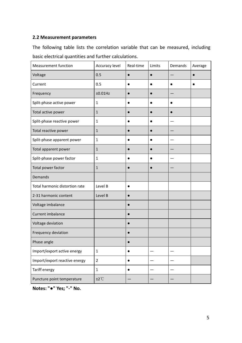## **2.2 Measurement parameters**

The following table lists the correlation variable that can be measured, including basic electrical quantities and further calculations.

| <b>Measurement function</b>    | Accuracy level            | Real-time | Limits    | Demands                  | Average   |
|--------------------------------|---------------------------|-----------|-----------|--------------------------|-----------|
| Voltage                        | 0.5                       | $\bullet$ | $\bullet$ |                          | $\bullet$ |
| Current                        | 0.5                       | $\bullet$ | $\bullet$ | $\bullet$                | $\bullet$ |
| Frequency                      | ±0.01Hz                   | $\bullet$ | $\bullet$ |                          |           |
| Split-phase active power       | $\mathbf 1$               | $\bullet$ | $\bullet$ | $\bullet$                |           |
| Total active power             | $\mathbf 1$               | $\bullet$ | $\bullet$ | $\bullet$                |           |
| Split-phase reactive power     | $\mathbf{1}$              | $\bullet$ | $\bullet$ |                          |           |
| Total reactive power           | $\mathbf 1$               | $\bullet$ | $\bullet$ | $\qquad \qquad -$        |           |
| Split-phase apparent power     | $\mathbf 1$               | $\bullet$ | $\bullet$ | $\overline{\phantom{0}}$ |           |
| Total apparent power           | $\mathbf 1$               | $\bullet$ | $\bullet$ |                          |           |
| Split-phase power factor       | $\mathbf 1$               | $\bullet$ | $\bullet$ |                          |           |
| Total power factor             | $\mathbf{1}$              | $\bullet$ | $\bullet$ |                          |           |
| Demands                        |                           |           |           |                          |           |
| Total harmonic distortion rate | Level B                   | $\bullet$ |           |                          |           |
| 2-31 harmonic content          | Level B                   | $\bullet$ |           |                          |           |
| Voltage imbalance              |                           | $\bullet$ |           |                          |           |
| Current imbalance              |                           |           |           |                          |           |
| Voltage deviation              |                           | $\bullet$ |           |                          |           |
| Frequency deviation            |                           | $\bullet$ |           |                          |           |
| Phase angle                    |                           | $\bullet$ |           |                          |           |
| Import/export active energy    | $\mathbf 1$               | $\bullet$ |           | $\overline{\phantom{0}}$ |           |
| Import/export reactive energy  | $\overline{2}$            | $\bullet$ |           |                          |           |
| Tariff energy                  | $\mathbf 1$               | $\bullet$ |           |                          |           |
| Puncture point temperature     | $±2^{\circ}$ <sup>C</sup> |           |           |                          |           |

**Notes: "●" Yes; "-" No.**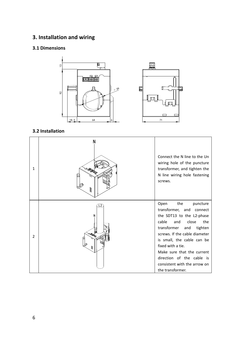## **3. Installation and wiring**

## **3.1 Dimensions**



### **3.2 Installation**

| $\mathbf{1}$   | Ν<br>ww | Connect the N line to the Un<br>wiring hole of the puncture<br>transformer, and tighten the<br>N line wiring hole fastening<br>screws.                                                                                                                                                                                                               |
|----------------|---------|------------------------------------------------------------------------------------------------------------------------------------------------------------------------------------------------------------------------------------------------------------------------------------------------------------------------------------------------------|
| $\overline{2}$ |         | the<br>Open<br>puncture<br>transformer, and connect<br>the SDT13 to the L2-phase<br>cable<br>close<br>the<br>and<br>transformer<br>and<br>tighten<br>screws. If the cable diameter<br>is small, the cable can be<br>fixed with a tie.<br>Make sure that the current<br>direction of the cable is<br>consistent with the arrow on<br>the transformer. |